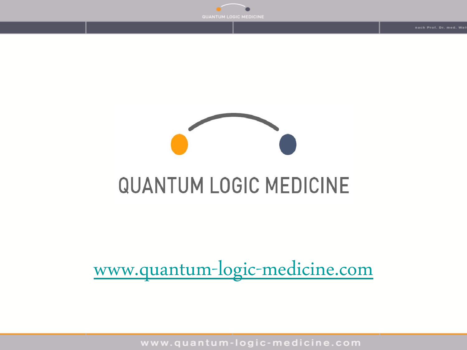## **QUANTUM LOGIC MEDICINE**

#### [www.quantum-logic-medicine.com](http://www.quantum-logic-medicine.com/)

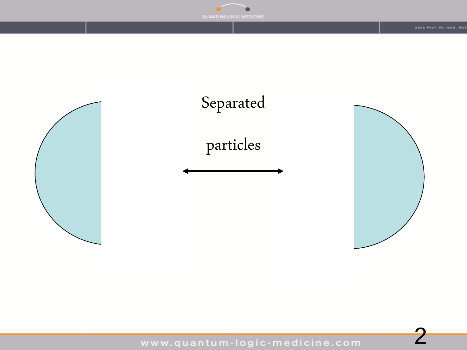

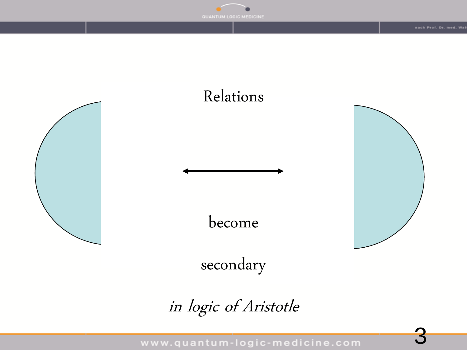

#### Relations

become

secondary

in logic of Aristotle

www.quantum-logic-medicine.com





3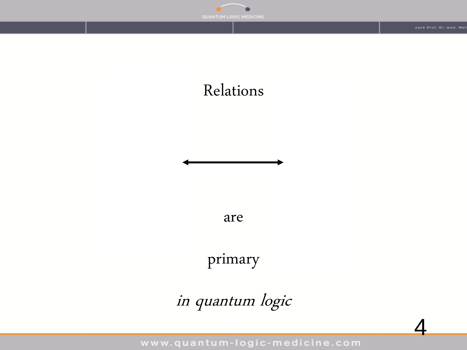

#### Relations

are

primary

in quantum logic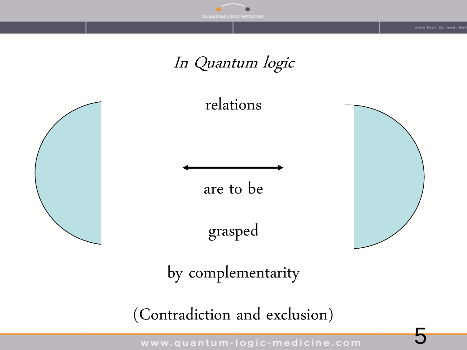

ach Prof. Dr. med. Wa

5

#### In Quantum logic



(Contradiction and exclusion)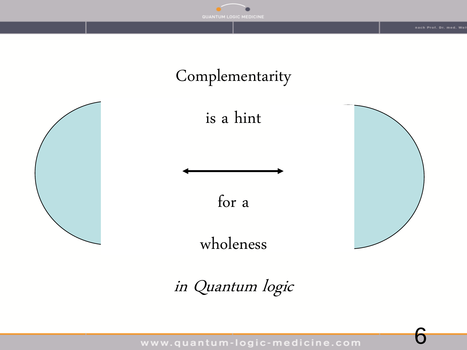

#### Complementarity



is a hint



wholeness

in Quantum logic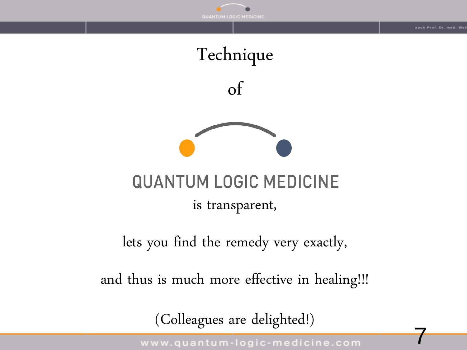

ach Prof. Dr. med. Wa

7







#### **QUANTUM LOGIC MEDICINE**

is transparent,

lets you find the remedy very exactly,

and thus is much more effective in healing!!!

(Colleagues are delighted!)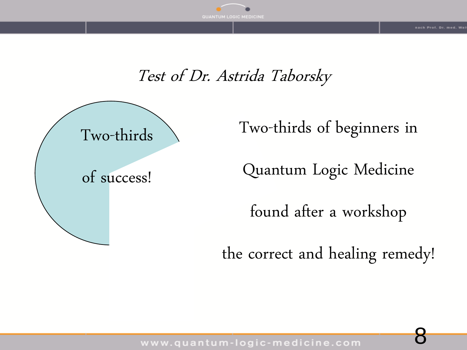

ach Prof. Dr. med. W

8

#### Test of Dr. Astrida Taborsky



Two-thirds of beginners in

Quantum Logic Medicine

found after a workshop

the correct and healing remedy!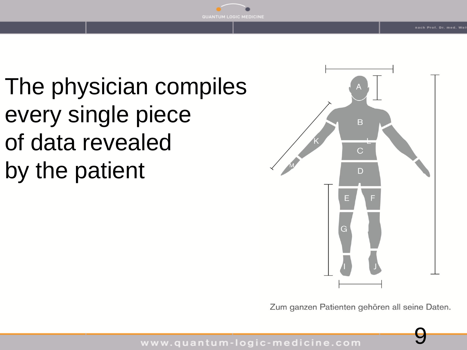The physician compiles every single piece of data revealed by the patient



Zum ganzen Patienten gehören all seine Daten.

9

www.quantum-logic-medicine.com

**C MEDICINE**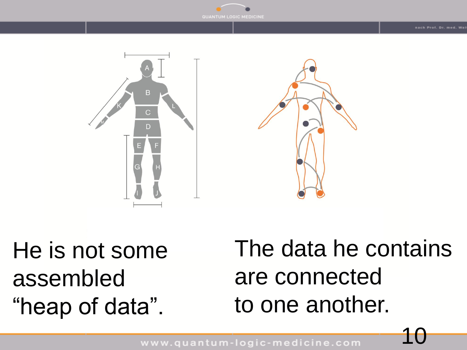





He is not some assembled "heap of data".

The data he contains are connected to one another.

10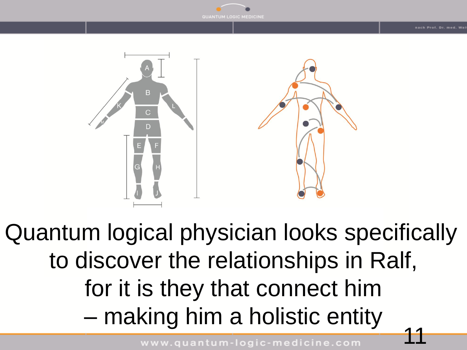



11 Quantum logical physician looks specifically to discover the relationships in Ralf, for it is they that connect him – making him a holistic entity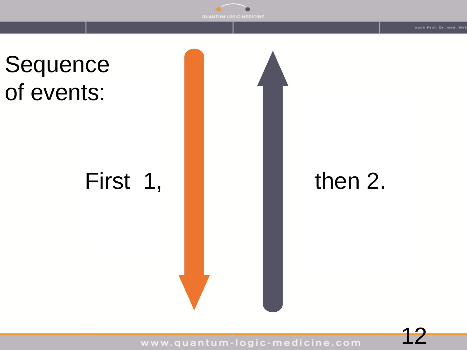

## First 1,  $\blacksquare$  then 2.

www.quantum-logic-medicine.com

12

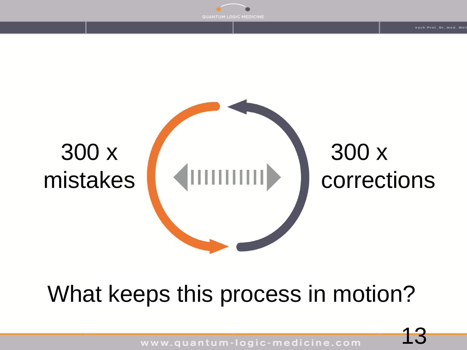



## What keeps this process in motion?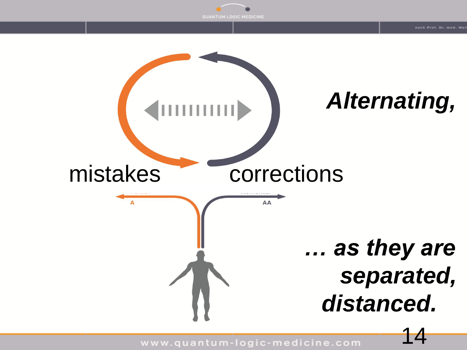

AA

mistakes corrections

# *… as they are separated, distanced.*

4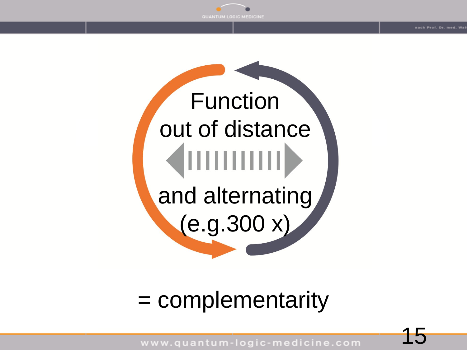

**Function** out of distance and alternating  $(e.g. 300 x)$ 

#### = complementarity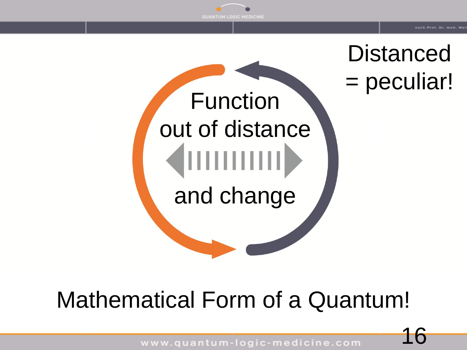



**Distanced** = peculiar!



# **Mathematical Form of a Quantum!**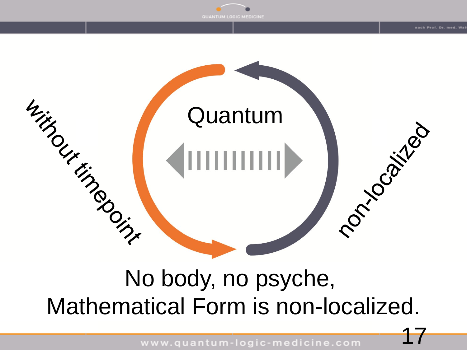

## No body, no psyche, Mathematical Form is non-localized.

www.quantum-logic-medicine.com

17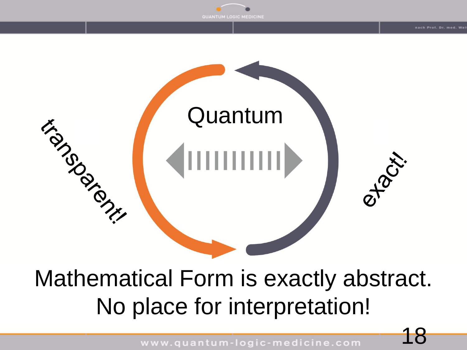

## Mathematical Form is exactly abstract. No place for interpretation!

www.quantum-logic-medicine.com

18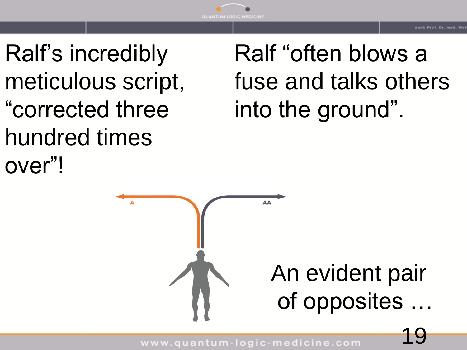Ralf's incredibly meticulous script, "corrected three hundred times over"!

# Ralf "often blows a fuse and talks others into the ground".

AA An evident pair of opposites …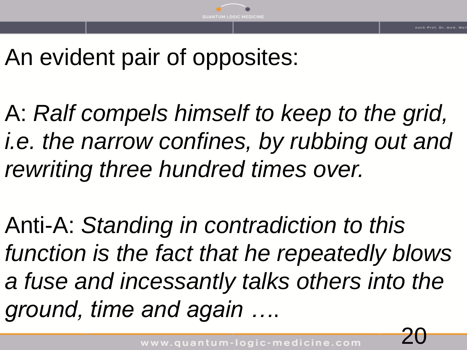## An evident pair of opposites:

A: *Ralf compels himself to keep to the grid, i.e. the narrow confines, by rubbing out and rewriting three hundred times over.*

Anti-A: *Standing in contradiction to this function is the fact that he repeatedly blows a fuse and incessantly talks others into the ground, time and again …*.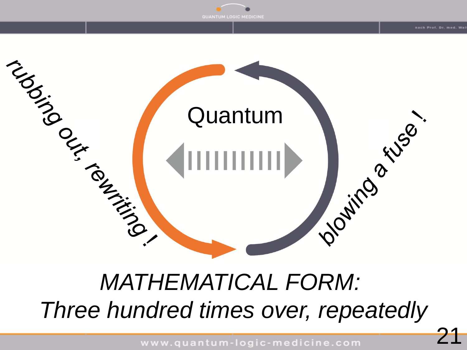

## *MATHEMATICAL FORM: Three hundred times over, repeatedly*

www.quantum-logic-medicine.com

21

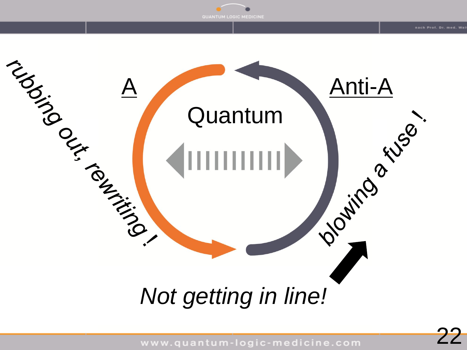

QUANTUM LOGIC MEDICINE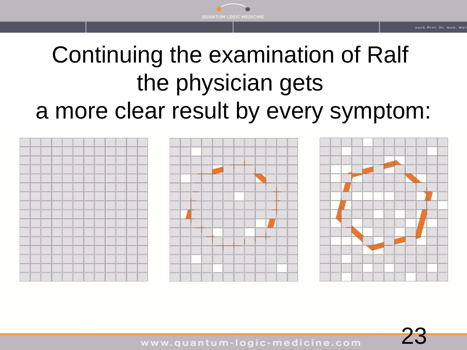# Continuing the examination of Ralf the physician gets a more clear result by every symptom:





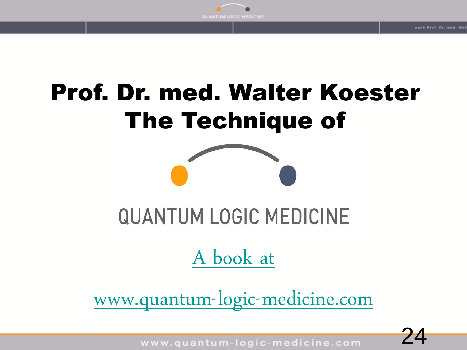

# Prof. Dr. med. Walter Koester The Technique of



# **QUANTUM LOGIC MEDICINE**

#### [A book at](http://www.quantum-logic-medicine.com/)

[www.quantum-logic-medicine.com](http://www.quantum-logic-medicine.com/)

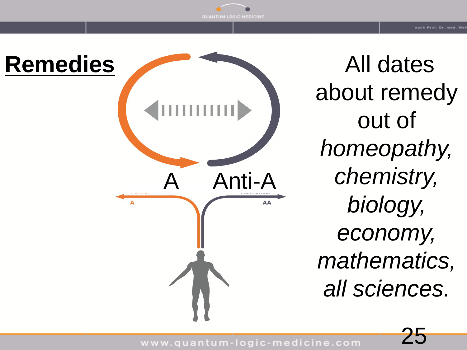

All dates about remedy out of *homeopathy, chemistry, biology, economy, mathematics, all sciences.*

25

www.quantum-logic-medicine.com

**OGIC MEDICINE**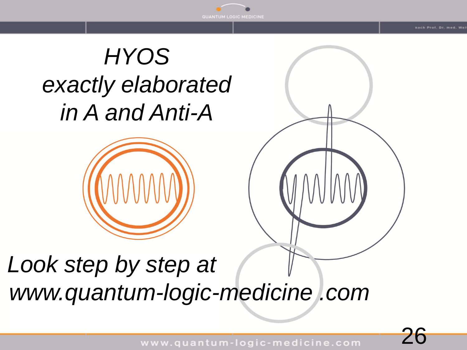# A! *HYOS exactly elaborated in A and Anti-A*





## *Look step by step at www.quantum-logic-medicine .com*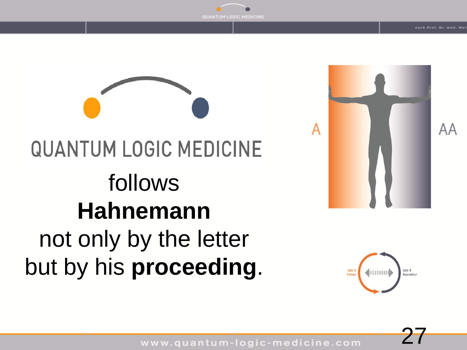

# **QUANTUM LOGIC MEDICINE** follows **Hahnemann** not only by the letter but by his **proceeding**.





27